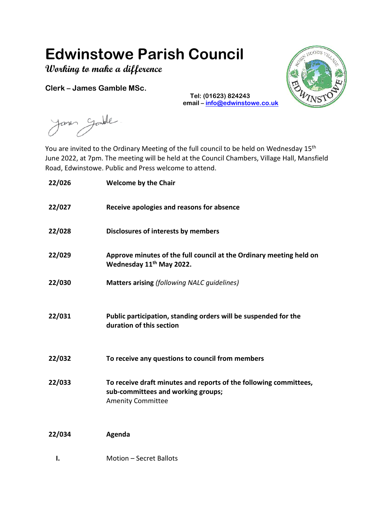# **Edwinstowe Parish Council**

**Working to make a difference**

**Clerk – James Gamble MSc.**

 $100D3$ 

Janes Gandle

You are invited to the Ordinary Meeting of the full council to be held on Wednesday 15<sup>th</sup> June 2022, at 7pm. The meeting will be held at the Council Chambers, Village Hall, Mansfield Road, Edwinstowe. Public and Press welcome to attend.

**Tel: (01623) 824243** 

**email – [info@edwinstowe.co.uk](mailto:info@edwinstowe.co.uk)**

| 22/026 | <b>Welcome by the Chair</b>                                                                                                         |
|--------|-------------------------------------------------------------------------------------------------------------------------------------|
| 22/027 | Receive apologies and reasons for absence                                                                                           |
| 22/028 | Disclosures of interests by members                                                                                                 |
| 22/029 | Approve minutes of the full council at the Ordinary meeting held on<br>Wednesday 11 <sup>th</sup> May 2022.                         |
| 22/030 | <b>Matters arising (following NALC guidelines)</b>                                                                                  |
| 22/031 | Public participation, standing orders will be suspended for the<br>duration of this section                                         |
| 22/032 | To receive any questions to council from members                                                                                    |
| 22/033 | To receive draft minutes and reports of the following committees,<br>sub-committees and working groups;<br><b>Amenity Committee</b> |
| 22/034 | Agenda                                                                                                                              |
| ı.     | Motion - Secret Ballots                                                                                                             |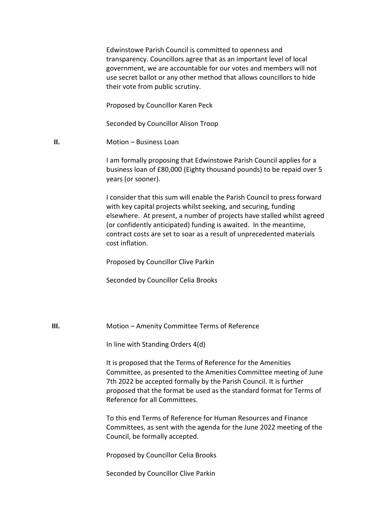Edwinstowe Parish Council is committed to openness and transparency. Councillors agree that as an important level of local government, we are accountable for our votes and members will not use secret ballot or any other method that allows councillors to hide their vote from public scrutiny.

Proposed by Councillor Karen Peck

Seconded by Councillor Alison Troop

**II.** Motion – Business Loan

I am formally proposing that Edwinstowe Parish Council applies for a business loan of £80,000 (Eighty thousand pounds) to be repaid over 5 years (or sooner).

I consider that this sum will enable the Parish Council to press forward with key capital projects whilst seeking, and securing, funding elsewhere. At present, a number of projects have stalled whilst agreed (or confidently anticipated) funding is awaited. In the meantime, contract costs are set to soar as a result of unprecedented materials cost inflation.

Proposed by Councillor Clive Parkin

Seconded by Councillor Celia Brooks

**III.** Motion – Amenity Committee Terms of Reference

In line with Standing Orders 4(d)

It is proposed that the Terms of Reference for the Amenities Committee, as presented to the Amenities Committee meeting of June 7th 2022 be accepted formally by the Parish Council. It is further proposed that the format be used as the standard format for Terms of Reference for all Committees.

To this end Terms of Reference for Human Resources and Finance Committees, as sent with the agenda for the June 2022 meeting of the Council, be formally accepted.

Proposed by Councillor Celia Brooks

Seconded by Councillor Clive Parkin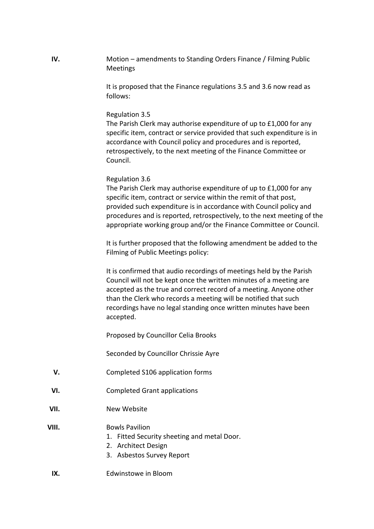**IV.** Motion – amendments to Standing Orders Finance / Filming Public Meetings

> It is proposed that the Finance regulations 3.5 and 3.6 now read as follows:

#### Regulation 3.5

The Parish Clerk may authorise expenditure of up to £1,000 for any specific item, contract or service provided that such expenditure is in accordance with Council policy and procedures and is reported, retrospectively, to the next meeting of the Finance Committee or Council.

#### Regulation 3.6

The Parish Clerk may authorise expenditure of up to £1,000 for any specific item, contract or service within the remit of that post, provided such expenditure is in accordance with Council policy and procedures and is reported, retrospectively, to the next meeting of the appropriate working group and/or the Finance Committee or Council.

It is further proposed that the following amendment be added to the Filming of Public Meetings policy:

It is confirmed that audio recordings of meetings held by the Parish Council will not be kept once the written minutes of a meeting are accepted as the true and correct record of a meeting. Anyone other than the Clerk who records a meeting will be notified that such recordings have no legal standing once written minutes have been accepted.

Proposed by Councillor Celia Brooks

Seconded by Councillor Chrissie Ayre

- **V.** Completed S106 application forms
- **VI.** Completed Grant applications
- **VII.** New Website

### **VIII.** Bowls Pavilion

- 1. Fitted Security sheeting and metal Door.
- 2. Architect Design
- 3. Asbestos Survey Report
- **IX.** Edwinstowe in Bloom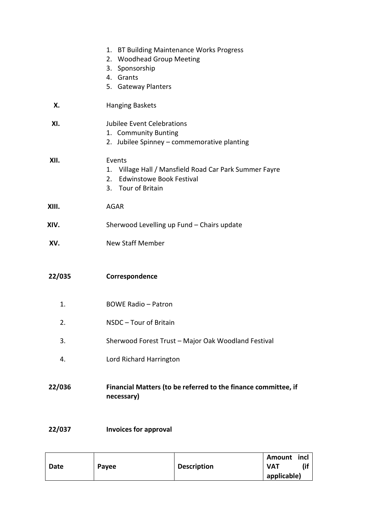|        | 1. BT Building Maintenance Works Progress<br>2. Woodhead Group Meeting<br>3. Sponsorship<br>4. Grants<br>5. Gateway Planters    |
|--------|---------------------------------------------------------------------------------------------------------------------------------|
| Х.     | <b>Hanging Baskets</b>                                                                                                          |
| XI.    | Jubilee Event Celebrations<br>1. Community Bunting<br>2. Jubilee Spinney - commemorative planting                               |
| XII.   | Events<br>1. Village Hall / Mansfield Road Car Park Summer Fayre<br><b>Edwinstowe Book Festival</b><br>2.<br>3. Tour of Britain |
| XIII.  | <b>AGAR</b>                                                                                                                     |
| XIV.   | Sherwood Levelling up Fund - Chairs update                                                                                      |
| XV.    | <b>New Staff Member</b>                                                                                                         |
| 22/035 | Correspondence                                                                                                                  |
| 1.     | <b>BOWE Radio - Patron</b>                                                                                                      |
| 2.     | NSDC - Tour of Britain                                                                                                          |
| 3.     | Sherwood Forest Trust - Major Oak Woodland Festival                                                                             |
| 4.     | Lord Richard Harrington                                                                                                         |
| 22/036 | Financial Matters (to be referred to the finance committee, if<br>necessary)                                                    |
| 22/037 | <b>Invoices for approval</b>                                                                                                    |

|      |       |                    | Amount      | incl |
|------|-------|--------------------|-------------|------|
| Date | Payee | <b>Description</b> | VAT         |      |
|      |       |                    | applicable) |      |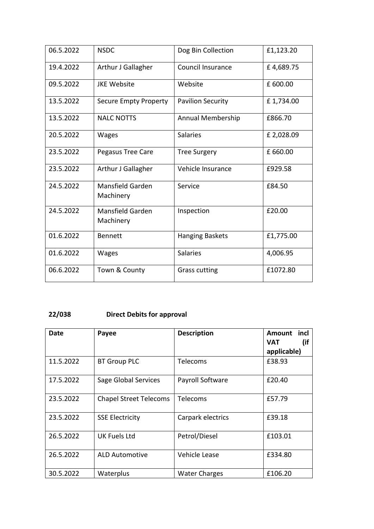| 06.5.2022 | <b>NSDC</b>                   | Dog Bin Collection       | £1,123.20  |
|-----------|-------------------------------|--------------------------|------------|
| 19.4.2022 | Arthur J Gallagher            | <b>Council Insurance</b> | £4,689.75  |
| 09.5.2022 | <b>JKE Website</b>            | Website                  | £ 600.00   |
| 13.5.2022 | <b>Secure Empty Property</b>  | <b>Pavilion Security</b> | £1,734.00  |
| 13.5.2022 | <b>NALC NOTTS</b>             | Annual Membership        | £866.70    |
| 20.5.2022 | <b>Wages</b>                  | <b>Salaries</b>          | £ 2,028.09 |
| 23.5.2022 | Pegasus Tree Care             | <b>Tree Surgery</b>      | £ 660.00   |
| 23.5.2022 | Arthur J Gallagher            | Vehicle Insurance        | £929.58    |
| 24.5.2022 | Mansfield Garden<br>Machinery | Service                  | £84.50     |
| 24.5.2022 | Mansfield Garden<br>Machinery | Inspection               | £20.00     |
| 01.6.2022 | <b>Bennett</b>                | <b>Hanging Baskets</b>   | £1,775.00  |
| 01.6.2022 | <b>Wages</b>                  | <b>Salaries</b>          | 4,006.95   |
| 06.6.2022 | Town & County                 | <b>Grass cutting</b>     | £1072.80   |

# **22/038 Direct Debits for approval**

| Date      | Payee                         | <b>Description</b>   | incl<br>Amount<br>(if<br><b>VAT</b> |
|-----------|-------------------------------|----------------------|-------------------------------------|
|           |                               |                      | applicable)                         |
| 11.5.2022 | <b>BT Group PLC</b>           | Telecoms             | £38.93                              |
| 17.5.2022 | Sage Global Services          | Payroll Software     | £20.40                              |
| 23.5.2022 | <b>Chapel Street Telecoms</b> | Telecoms             | £57.79                              |
| 23.5.2022 | <b>SSE Electricity</b>        | Carpark electrics    | £39.18                              |
| 26.5.2022 | <b>UK Fuels Ltd</b>           | Petrol/Diesel        | £103.01                             |
| 26.5.2022 | <b>ALD Automotive</b>         | Vehicle Lease        | £334.80                             |
| 30.5.2022 | Waterplus                     | <b>Water Charges</b> | £106.20                             |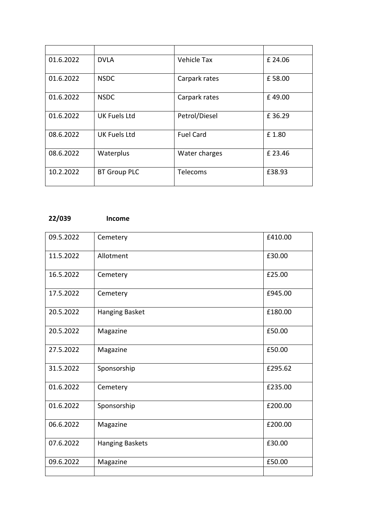| 01.6.2022 | <b>DVLA</b>         | Vehicle Tax      | £ 24.06 |
|-----------|---------------------|------------------|---------|
| 01.6.2022 | <b>NSDC</b>         | Carpark rates    | £58.00  |
| 01.6.2022 | <b>NSDC</b>         | Carpark rates    | £49.00  |
| 01.6.2022 | <b>UK Fuels Ltd</b> | Petrol/Diesel    | £36.29  |
| 08.6.2022 | <b>UK Fuels Ltd</b> | <b>Fuel Card</b> | £1.80   |
| 08.6.2022 | Waterplus           | Water charges    | £23.46  |
| 10.2.2022 | <b>BT Group PLC</b> | Telecoms         | £38.93  |

# **22/039 Income**

| 09.5.2022 | Cemetery        | £410.00 |
|-----------|-----------------|---------|
| 11.5.2022 | Allotment       | £30.00  |
| 16.5.2022 | Cemetery        | £25.00  |
| 17.5.2022 | Cemetery        | £945.00 |
| 20.5.2022 | Hanging Basket  | £180.00 |
| 20.5.2022 | Magazine        | £50.00  |
| 27.5.2022 | Magazine        | £50.00  |
| 31.5.2022 | Sponsorship     | £295.62 |
| 01.6.2022 | Cemetery        | £235.00 |
| 01.6.2022 | Sponsorship     | £200.00 |
| 06.6.2022 | Magazine        | £200.00 |
| 07.6.2022 | Hanging Baskets | £30.00  |
| 09.6.2022 | Magazine        | £50.00  |